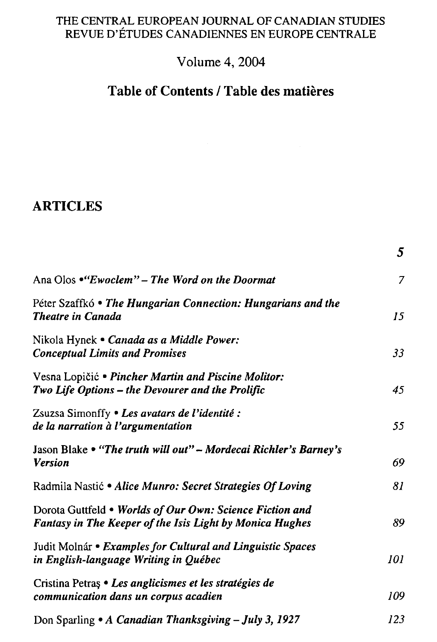## THE CENTRAL EUROPEAN JOURNAL OF CANADIAN STUDIES REVUE D'ÉTUDES CANADIENNES EN EUROPE CENTRALE

## **Volume 4, 2004**

## **Table of Contents / Table des matiěres**

**5** 

## **ARTICLES**

|                                                                                                                      | Э   |
|----------------------------------------------------------------------------------------------------------------------|-----|
| Ana Olos • "Ewoclem" – The Word on the Doormat                                                                       | 7   |
| Péter Szaffkó • The Hungarian Connection: Hungarians and the<br><b>Theatre in Canada</b>                             | 15  |
| Nikola Hynek • Canada as a Middle Power:<br><b>Conceptual Limits and Promises</b>                                    | 33  |
| Vesna Lopičić • Pincher Martin and Piscine Molitor:<br>Two Life Options – the Devourer and the Prolific              | 45  |
| Zsuzsa Simonffy • Les avatars de l'identité :<br>de la narration à l'argumentation                                   | 55  |
| Jason Blake • "The truth will out" - Mordecai Richler's Barney's<br><b>Version</b>                                   | 69  |
| Radmila Nastić • Alice Munro: Secret Strategies Of Loving                                                            | 81  |
| Dorota Guttfeld . Worlds of Our Own: Science Fiction and<br>Fantasy in The Keeper of the Isis Light by Monica Hughes | 89  |
| Judit Molnár • Examples for Cultural and Linguistic Spaces<br>in English-language Writing in Québec                  | 101 |
| Cristina Petras • Les anglicismes et les stratégies de<br>communication dans un corpus acadien                       | 109 |
| Don Sparling • A Canadian Thanksgiving - July 3, 1927                                                                | 123 |